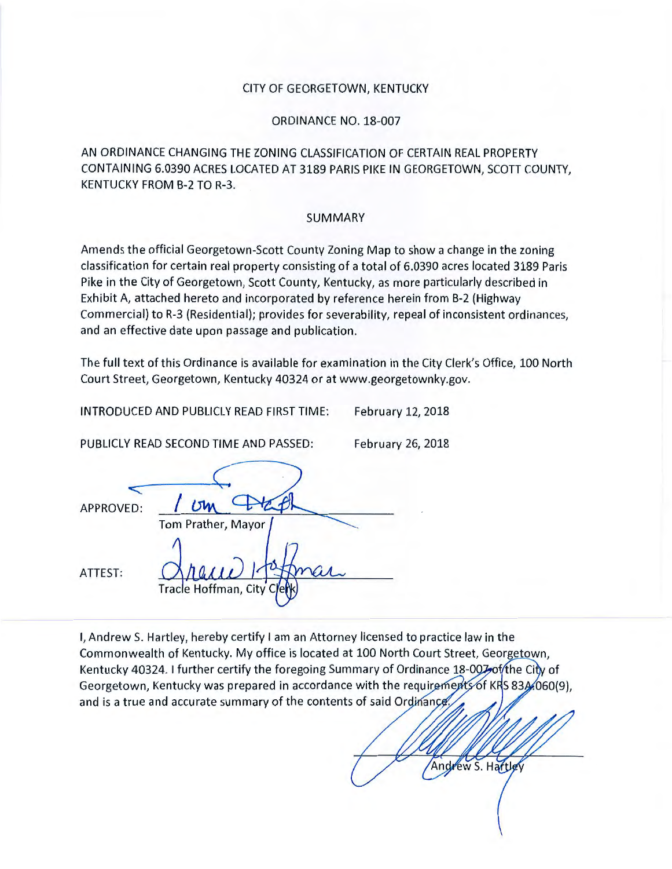#### CITY OF GEORGETOWN, KENTUCKY

ORDINANCE NO. 18-007

AN ORDINANCE CHANGING THE ZONING CLASSIFICATION OF CERTAIN REAL PROPERTY CONTAINING 6.0390 ACRES LOCATED AT 3189 PARIS PIKE IN GEORGETOWN, SCOTT COUNTY, KENTUCKY FROM B-2 TO R-3.

#### SUMMARY

Amends the official Georgetown-Scott County Zoning Map to show a change in the zoning classification for certain real property consisting of a total of 6.0390 acres located 3189 Paris Pike in the City of Georgetown, Scott County, Kentucky, as more particularly described in Exhibit A, attached hereto and incorporated by reference herein from B-2 (Highway Commercial) to R-3 (Residential); provides for severability, repeal of inconsistent ordinances, and an effective date upon passage and publication.

The full text of this Ordinance is available for examination in the City Clerk's Office, 100 North Court Street, Georgetown, Kentucky 40324 or at www.georgetownky.gov.

INTRODUCED AND PUBLICLY READ FIRST TIME: February 12, 2018

PUBLICLY READ SECOND TIME AND PASSED: February 26, 2018

Andrew S. Hartley

| APPROVED: | 15M                       |
|-----------|---------------------------|
|           | Tom Prather, Mayor        |
| ATTEST:   | Tracle Hoffman, City Cler |

I, Andrew S. Hartley, hereby certify I am an Attorney licensed to practice law in the Commonwealth of Kentucky. My office is located at 100 North Court Street, Georgetown, Kentucky 40324. I further certify the foregoing Summary of Ordinance 18-007 of the City of Georgetown, Kentucky was prepared in accordance with the requirements of KRS 83A.060(9), and is a true and accurate summary of the contents of said Ordinance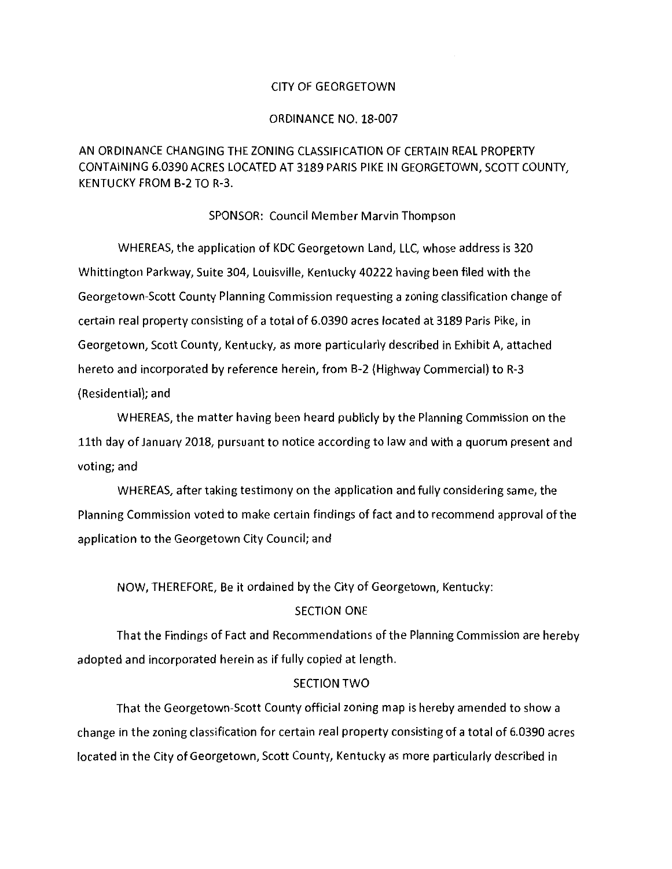#### CITY OF GEORGETOWN

#### ORDINANCE NO. 18-007

# AN ORDINANCE CHANGING THE ZONING CLASSIFICATION OF CERTAIN REAL PROPERTY CONTAINING 6.0390 ACRES LOCATED AT 3189 PARIS PIKE IN GEORGETOWN, SCOTT COUNTY, KENTUCKY FROM B-2 TO R-3.

#### SPONSOR: Council Member Marvin Thompson

WHEREAS, the application of KDC Georgetown Land, LLC, whose address is 320 Whittington Parkway, Suite 304, Louisville, Kentucky 40222 having been filed with the Georgetown-Scott County Planning Commission requesting a zoning classification change of certain real property consisting of a total of 6.0390 acres located at 3189 Paris Pike, in Georgetown, Scott County, Kentucky, as more particularly described in Exhibit A, attached hereto and incorporated by reference herein, from B-2 (Highway Commercial) to R-3 (Residential); and

WHEREAS, the matter having been heard publicly by the Planning Commission on the 11th day of January 2018, pursuant to notice according to law and with a quorum present and voting; and

WHEREAS, after taking testimony on the application and fully considering same, the Planning Commission voted to make certain findings of fact and to recommend approval of the application to the Georgetown City Council; and

NOW, THEREFORE, Be it ordained by the City of Georgetown, Kentucky:

# SECTION ONE

That the Findings of Fact and Recommendations of the Planning Commission are hereby adopted and incorporated herein as if fully copied at length.

# SECTION TWO

That the Georgetown-Scott County official zoning map is hereby amended to show a change in the zoning classification for certain real property consisting of a total of 6.0390 acres located in the City of Georgetown, Scott County, Kentucky as more particularly described in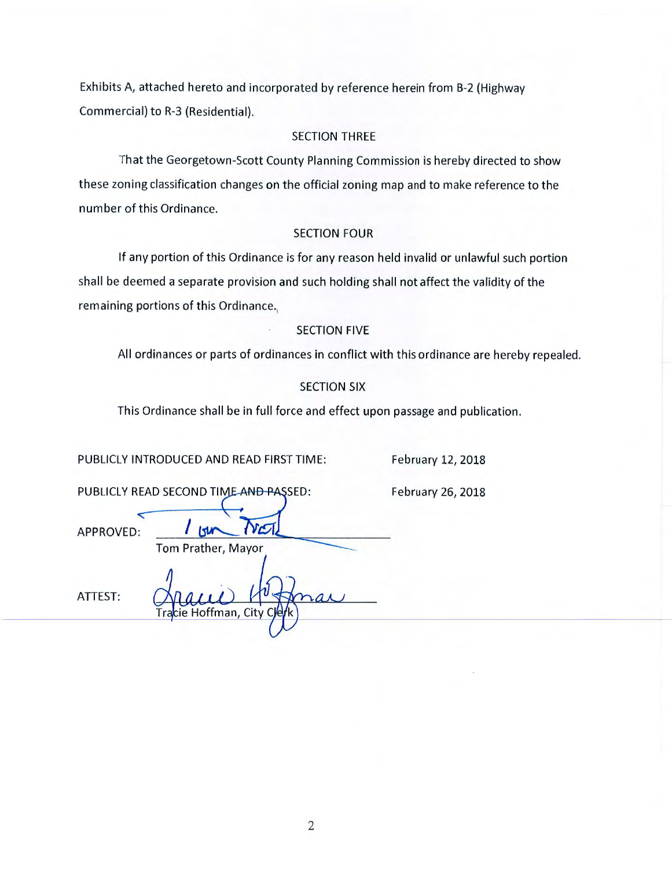Exhibits A, attached hereto and incorporated by reference herein from B-2 (Highway Commercial) to R-3 (Residential).

# SECTION THREE

That the Georgetown-Scott County Planning Commission is hereby directed to show these zoning classification changes on the official zoning map and to make reference to the number of this Ordinance.

#### SECTION FOUR

If any portion of this Ordinance is for any reason held invalid or unlawful such portion shall be deemed a separate provision and such holding shall not affect the validity of the remaining portions of this Ordinance.

### SECTION FIVE

All ordinances or parts of ordinances in conflict with this ordinance are hereby repealed.

# SECTION SIX

This Ordinance shall be in full force and effect upon passage and publication.

PUBLICLY INTRODUCED AND READ FIRST TIME:

February 12, 2018

February 26, 2018

|           | PUBLICLY READ SECOND TIME AND PASSED: |
|-----------|---------------------------------------|
| APPROVED: |                                       |
|           | Tom Prather, Mayor                    |
|           |                                       |

cie Hoffman, City

ATTEST: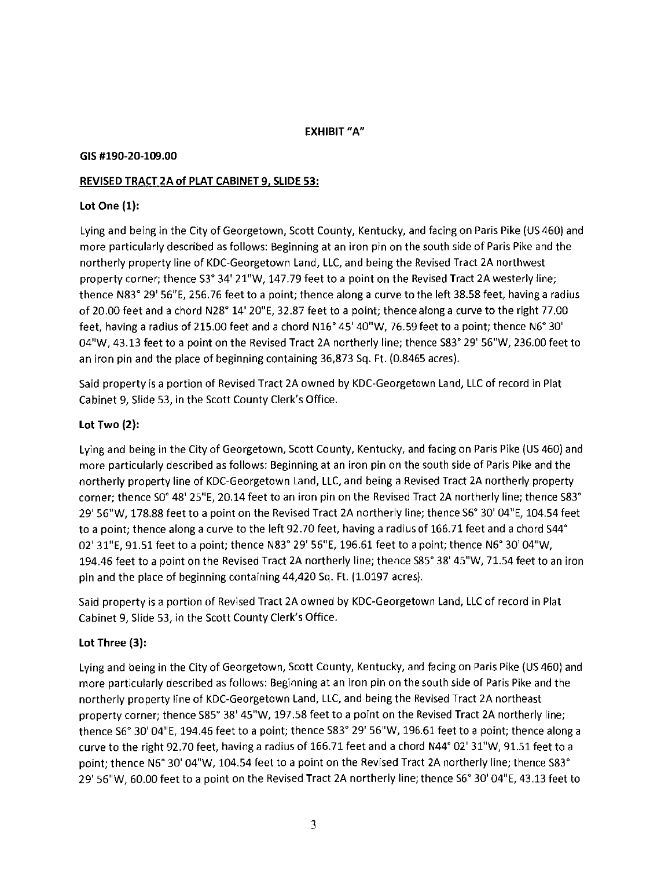# **EXHIBIT "A"**

#### **GIS #190-20-109.00**

### **REVISED TRACT 2A of PLAT CABINET 9, SLIDE 53:**

### **Lot One (1):**

Lying and being in the City of Georgetown, Scott County, Kentucky, and facing on Paris Pike (US 460) and more particularly described as follows: Beginning at an iron pin on the south side of Paris Pike and the northerly property line of KOC-Georgetown Land, LLC, and being the Revised Tract 2A northwest property corner; thence S3° 34' 21"W, 147.79 feet to a point on the Revised Tract 2A westerly line; thence N83° 29' 56"E, 256.76 feet to a point; thence along a curve to the left 38.58 feet, having a radius of 20.00 feet and a chord N28° 14' 20"E, 32.87 feet to a point; thence along a curve to the right 77.00 feet, having a radius of 215.00 feet and a chord N16° 45' 40"W, 76.59 feet to a point; thence N6° 30' 04"W, 43.13 feet to a point on the Revised Tract 2A northerly line; thence S83° 29' 56"W, 236.00 feet to an iron pin and the place of beginning containing 36,873 Sq. Ft. (0.846S acres).

Said property is a portion of Revised Tract 2A owned by KOC-Georgetown Land, LLC of record in Plat Cabinet 9, Slide 53, in the Scott County Clerk's Office.

### **Lot Two (2):**

Lying and being in the City of Georgetown, Scott County, Kentucky, and facing on Paris Pike (US 460) and more particularly described as follows: Beginning at an iron pin on the south side of Paris Pike and the northerly property line of KOC-Georgetown Land, LLC, and being a Revised Tract 2A northerly property corner; thence S0° 48' 25"E, 20.14 feet to an iron pin on the Revised Tract 2A northerly line; thence S83° 29' 56"W, 178.88 feet to a point on the Revised Tract 2A northerly line; thence S6° 30' 04"E, 104.54 feet to a point; thence along a curve to the left 92.70 feet, having a radius of 166.71 feet and a chord S44° 02' 31"E, 91.51 feet to a point; thence N83° 29' 56"E, 196.61 feet to a point; thence N6° 30' 04"W, 194.46 feet to a point on the Revised Tract 2A northerly line; thence S85° 38' 45"W, 71.54 feet to an iron pin and the place of beginning containing 44,420 Sq. Ft. (1.0197 acres).

Said property is a portion of Revised Tract 2A owned by KOC-Georgetown Land, LLC of record in Plat Cabinet 9, Slide 53, in the Scott County Clerk's Office.

### **Lot Three (3):**

Lying and being in the City of Georgetown, Scott County, Kentucky, and facing on Paris Pike (US 460) and more particularly described as follows: Beginning at an iron pin on the south side of Paris Pike and the northerly property line of KOC-Georgetown Land, LLC, and being the Revised Tract 2A northeast property corner; thence S85° 38' 45"W, 197.58 feet to a point on the Revised Tract 2A northerly line; thence S6° 30' 04"E, 194.46 feet to a point; thence S83° 29' 56"W, 196.61 feet to a point; thence along a curve to the right 92.70 feet, having a radius of 166.71 feet and a chord N44° 02' 31"W, 91.51 feet to a point; thence N6° 30' 04"W, 104.54 feet to a point on the Revised Tract 2A northerly line; thence S83° 29' 56"W, 60.00 feet to a point on the Revised Tract 2A northerly line; thence S6° 30' 04"E, 43.13 feet to